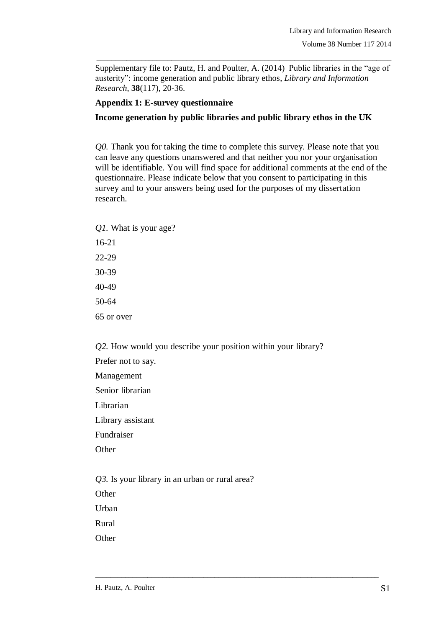Supplementary file to: Pautz, H. and Poulter, A. (2014) Public libraries in the "age of austerity": income generation and public library ethos, *Library and Information Research*, **38**(117), 20-36.

\_\_\_\_\_\_\_\_\_\_\_\_\_\_\_\_\_\_\_\_\_\_\_\_\_\_\_\_\_\_\_\_\_\_\_\_\_\_\_\_\_\_\_\_\_\_\_\_\_\_\_\_\_\_\_\_\_\_\_\_\_\_\_\_\_\_\_\_\_\_\_\_\_\_\_\_\_\_\_

#### **Appendix 1: E-survey questionnaire**

### **Income generation by public libraries and public library ethos in the UK**

*Q0.* Thank you for taking the time to complete this survey. Please note that you can leave any questions unanswered and that neither you nor your organisation will be identifiable. You will find space for additional comments at the end of the questionnaire. Please indicate below that you consent to participating in this survey and to your answers being used for the purposes of my dissertation research.

*Q1.* What is your age? 16-21 22-29 30-39 40-49 50-64 65 or over

*Q2.* How would you describe your position within your library? Prefer not to say. Management Senior librarian Librarian Library assistant

\_\_\_\_\_\_\_\_\_\_\_\_\_\_\_\_\_\_\_\_\_\_\_\_\_\_\_\_\_\_\_\_\_\_\_\_\_\_\_\_\_\_\_\_\_\_\_\_\_\_\_\_\_\_\_\_\_\_\_\_\_\_\_\_\_\_\_\_\_\_\_\_\_\_\_\_

Fundraiser

**Other** 

*Q3.* Is your library in an urban or rural area?

**Other** 

Urban

Rural

**Other**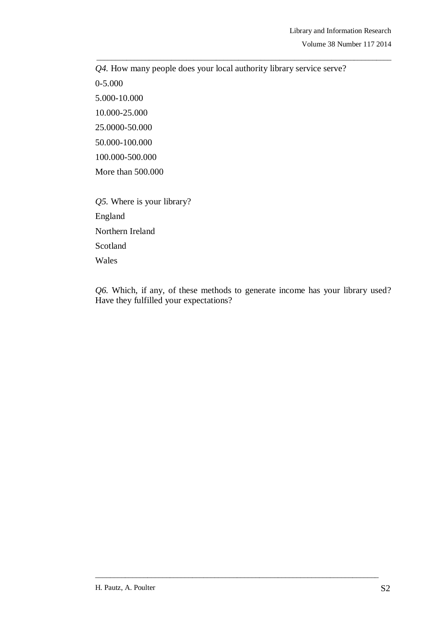*Q4.* How many people does your local authority library service serve? 0-5.000 5.000-10.000 10.000-25.000 25.0000-50.000 50.000-100.000 100.000-500.000 More than 500.000 *Q5.* Where is your library? England Northern Ireland Scotland

\_\_\_\_\_\_\_\_\_\_\_\_\_\_\_\_\_\_\_\_\_\_\_\_\_\_\_\_\_\_\_\_\_\_\_\_\_\_\_\_\_\_\_\_\_\_\_\_\_\_\_\_\_\_\_\_\_\_\_\_\_\_\_\_\_\_\_\_\_\_\_\_\_\_\_\_\_\_\_

Wales

*Q6.* Which, if any, of these methods to generate income has your library used? Have they fulfilled your expectations?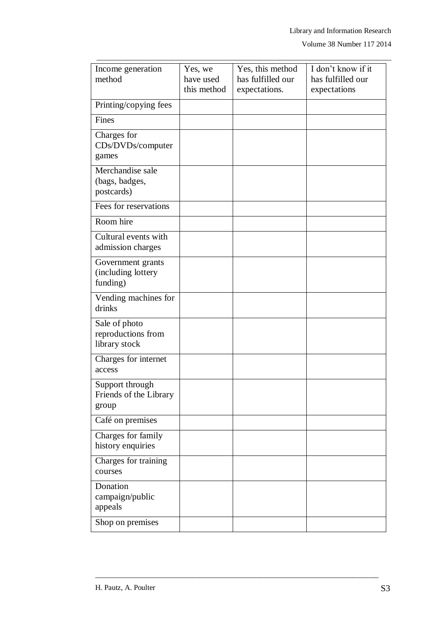| Income generation<br>method                          | Yes, we<br>have used<br>this method | Yes, this method<br>has fulfilled our<br>expectations. | I don't know if it<br>has fulfilled our<br>expectations |
|------------------------------------------------------|-------------------------------------|--------------------------------------------------------|---------------------------------------------------------|
| Printing/copying fees                                |                                     |                                                        |                                                         |
| Fines                                                |                                     |                                                        |                                                         |
| Charges for<br>CDs/DVDs/computer<br>games            |                                     |                                                        |                                                         |
| Merchandise sale<br>(bags, badges,<br>postcards)     |                                     |                                                        |                                                         |
| Fees for reservations                                |                                     |                                                        |                                                         |
| Room hire                                            |                                     |                                                        |                                                         |
| Cultural events with<br>admission charges            |                                     |                                                        |                                                         |
| Government grants<br>(including lottery<br>funding)  |                                     |                                                        |                                                         |
| Vending machines for<br>drinks                       |                                     |                                                        |                                                         |
| Sale of photo<br>reproductions from<br>library stock |                                     |                                                        |                                                         |
| Charges for internet<br>access                       |                                     |                                                        |                                                         |
| Support through<br>Friends of the Library<br>group   |                                     |                                                        |                                                         |
| Café on premises                                     |                                     |                                                        |                                                         |
| Charges for family<br>history enquiries              |                                     |                                                        |                                                         |
| Charges for training<br>courses                      |                                     |                                                        |                                                         |
| Donation<br>campaign/public<br>appeals               |                                     |                                                        |                                                         |
| Shop on premises                                     |                                     |                                                        |                                                         |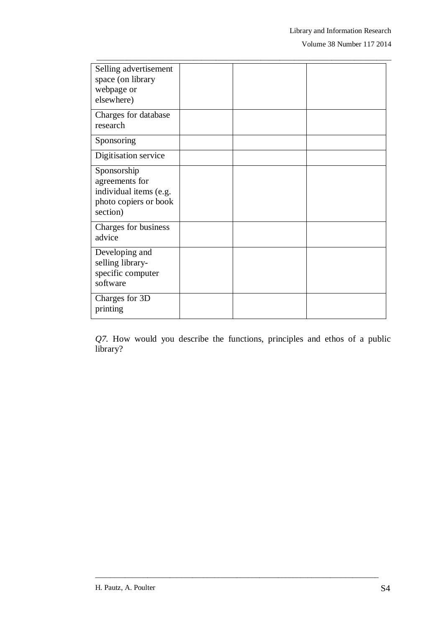Volume 38 Number 117 2014

| Selling advertisement<br>space (on library<br>webpage or<br>elsewhere)                       |  |  |
|----------------------------------------------------------------------------------------------|--|--|
| Charges for database<br>research                                                             |  |  |
| Sponsoring                                                                                   |  |  |
| Digitisation service                                                                         |  |  |
| Sponsorship<br>agreements for<br>individual items (e.g.<br>photo copiers or book<br>section) |  |  |
| Charges for business<br>advice                                                               |  |  |
| Developing and<br>selling library-<br>specific computer<br>software                          |  |  |
| Charges for 3D<br>printing                                                                   |  |  |

\_\_\_\_\_\_\_\_\_\_\_\_\_\_\_\_\_\_\_\_\_\_\_\_\_\_\_\_\_\_\_\_\_\_\_\_\_\_\_\_\_\_\_\_\_\_\_\_\_\_\_\_\_\_\_\_\_\_\_\_\_\_\_\_\_\_\_\_\_\_\_\_\_\_\_\_\_\_\_

*Q7.* How would you describe the functions, principles and ethos of a public library?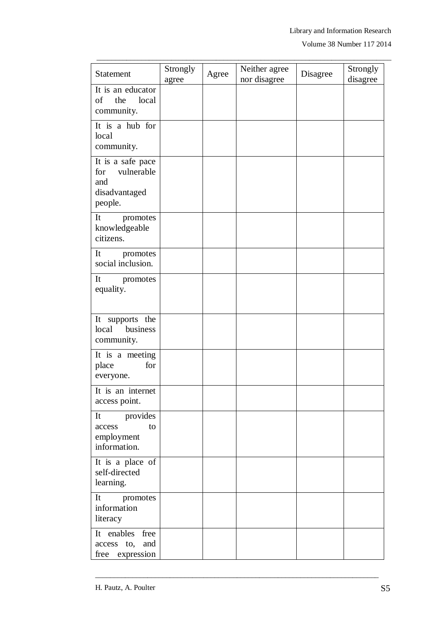Volume 38 Number 117 2014

| Statement                                                                 | Strongly<br>agree | Agree | Neither agree<br>nor disagree | Disagree | Strongly<br>disagree |
|---------------------------------------------------------------------------|-------------------|-------|-------------------------------|----------|----------------------|
| It is an educator<br>of<br>the<br>local<br>community.                     |                   |       |                               |          |                      |
| It is a hub for<br>local<br>community.                                    |                   |       |                               |          |                      |
| It is a safe pace<br>for<br>vulnerable<br>and<br>disadvantaged<br>people. |                   |       |                               |          |                      |
| It<br>promotes<br>knowledgeable<br>citizens.                              |                   |       |                               |          |                      |
| It<br>promotes<br>social inclusion.                                       |                   |       |                               |          |                      |
| It<br>promotes<br>equality.                                               |                   |       |                               |          |                      |
| It supports the<br>local<br>business<br>community.                        |                   |       |                               |          |                      |
| It is a meeting<br>place<br>for<br>everyone.                              |                   |       |                               |          |                      |
| It is an internet<br>access point.                                        |                   |       |                               |          |                      |
| provides<br>It<br>access<br>to<br>employment<br>information.              |                   |       |                               |          |                      |
| It is a place of<br>self-directed<br>learning.                            |                   |       |                               |          |                      |
| It<br>promotes<br>information<br>literacy                                 |                   |       |                               |          |                      |
| It enables<br>free<br>and<br>access to,<br>free expression                |                   |       |                               |          |                      |

\_\_\_\_\_\_\_\_\_\_\_\_\_\_\_\_\_\_\_\_\_\_\_\_\_\_\_\_\_\_\_\_\_\_\_\_\_\_\_\_\_\_\_\_\_\_\_\_\_\_\_\_\_\_\_\_\_\_\_\_\_\_\_\_\_\_\_\_\_\_\_\_\_\_\_\_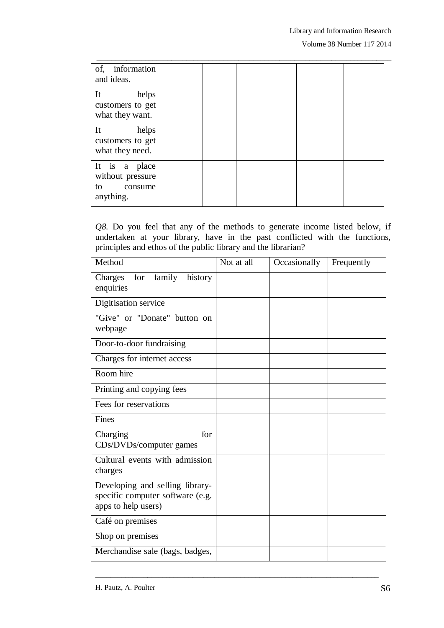| of, information<br>and ideas.                                   |  |  |  |
|-----------------------------------------------------------------|--|--|--|
| helps<br>It<br>customers to get<br>what they want.              |  |  |  |
| It<br>helps<br>customers to get<br>what they need.              |  |  |  |
| It is a place<br>without pressure<br>to<br>consume<br>anything. |  |  |  |

\_\_\_\_\_\_\_\_\_\_\_\_\_\_\_\_\_\_\_\_\_\_\_\_\_\_\_\_\_\_\_\_\_\_\_\_\_\_\_\_\_\_\_\_\_\_\_\_\_\_\_\_\_\_\_\_\_\_\_\_\_\_\_\_\_\_\_\_\_\_\_\_\_\_\_\_\_\_\_

*Q8.* Do you feel that any of the methods to generate income listed below, if undertaken at your library, have in the past conflicted with the functions, principles and ethos of the public library and the librarian?

| Method                                                                                     | Not at all | Occasionally | Frequently |
|--------------------------------------------------------------------------------------------|------------|--------------|------------|
| family<br>history<br>Charges<br>for<br>enquiries                                           |            |              |            |
| Digitisation service                                                                       |            |              |            |
| "Give" or "Donate" button on<br>webpage                                                    |            |              |            |
| Door-to-door fundraising                                                                   |            |              |            |
| Charges for internet access                                                                |            |              |            |
| Room hire                                                                                  |            |              |            |
| Printing and copying fees                                                                  |            |              |            |
| Fees for reservations                                                                      |            |              |            |
| Fines                                                                                      |            |              |            |
| Charging<br>for<br>CDs/DVDs/computer games                                                 |            |              |            |
| Cultural events with admission<br>charges                                                  |            |              |            |
| Developing and selling library-<br>specific computer software (e.g.<br>apps to help users) |            |              |            |
| Café on premises                                                                           |            |              |            |
| Shop on premises                                                                           |            |              |            |
| Merchandise sale (bags, badges,                                                            |            |              |            |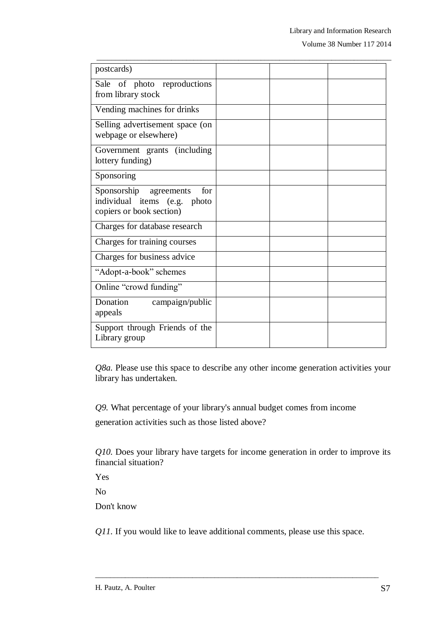Volume 38 Number 117 2014

| postcards)                                                                                |  |  |
|-------------------------------------------------------------------------------------------|--|--|
| Sale of photo reproductions<br>from library stock                                         |  |  |
| Vending machines for drinks                                                               |  |  |
| Selling advertisement space (on<br>webpage or elsewhere)                                  |  |  |
| Government grants (including<br>lottery funding)                                          |  |  |
| Sponsoring                                                                                |  |  |
| Sponsorship agreements<br>for<br>individual items (e.g. photo<br>copiers or book section) |  |  |
| Charges for database research                                                             |  |  |
| Charges for training courses                                                              |  |  |
| Charges for business advice                                                               |  |  |
| "Adopt-a-book" schemes                                                                    |  |  |
| Online "crowd funding"                                                                    |  |  |
| Donation<br>campaign/public<br>appeals                                                    |  |  |
| Support through Friends of the<br>Library group                                           |  |  |

\_\_\_\_\_\_\_\_\_\_\_\_\_\_\_\_\_\_\_\_\_\_\_\_\_\_\_\_\_\_\_\_\_\_\_\_\_\_\_\_\_\_\_\_\_\_\_\_\_\_\_\_\_\_\_\_\_\_\_\_\_\_\_\_\_\_\_\_\_\_\_\_\_\_\_\_\_\_\_

*Q8a.* Please use this space to describe any other income generation activities your library has undertaken.

*Q9.* What percentage of your library's annual budget comes from income

generation activities such as those listed above?

*Q10.* Does your library have targets for income generation in order to improve its financial situation?

Yes

No

Don't know

*Q11.* If you would like to leave additional comments, please use this space.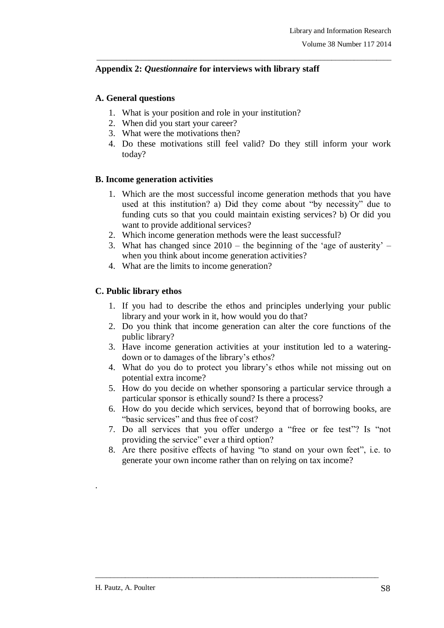# **Appendix 2:** *Questionnaire* **for interviews with library staff**

## **A. General questions**

- 1. What is your position and role in your institution?
- 2. When did you start your career?
- 3. What were the motivations then?
- 4. Do these motivations still feel valid? Do they still inform your work today?

\_\_\_\_\_\_\_\_\_\_\_\_\_\_\_\_\_\_\_\_\_\_\_\_\_\_\_\_\_\_\_\_\_\_\_\_\_\_\_\_\_\_\_\_\_\_\_\_\_\_\_\_\_\_\_\_\_\_\_\_\_\_\_\_\_\_\_\_\_\_\_\_\_\_\_\_\_\_\_

## **B. Income generation activities**

- 1. Which are the most successful income generation methods that you have used at this institution? a) Did they come about "by necessity" due to funding cuts so that you could maintain existing services? b) Or did you want to provide additional services?
- 2. Which income generation methods were the least successful?
- 3. What has changed since  $2010$  the beginning of the 'age of austerity' when you think about income generation activities?
- 4. What are the limits to income generation?

# **C. Public library ethos**

- 1. If you had to describe the ethos and principles underlying your public library and your work in it, how would you do that?
- 2. Do you think that income generation can alter the core functions of the public library?
- 3. Have income generation activities at your institution led to a wateringdown or to damages of the library"s ethos?
- 4. What do you do to protect you library"s ethos while not missing out on potential extra income?
- 5. How do you decide on whether sponsoring a particular service through a particular sponsor is ethically sound? Is there a process?
- 6. How do you decide which services, beyond that of borrowing books, are "basic services" and thus free of cost?
- 7. Do all services that you offer undergo a "free or fee test"? Is "not providing the service" ever a third option?
- 8. Are there positive effects of having "to stand on your own feet", i.e. to generate your own income rather than on relying on tax income?

\_\_\_\_\_\_\_\_\_\_\_\_\_\_\_\_\_\_\_\_\_\_\_\_\_\_\_\_\_\_\_\_\_\_\_\_\_\_\_\_\_\_\_\_\_\_\_\_\_\_\_\_\_\_\_\_\_\_\_\_\_\_\_\_\_\_\_\_\_\_\_\_\_\_\_\_

.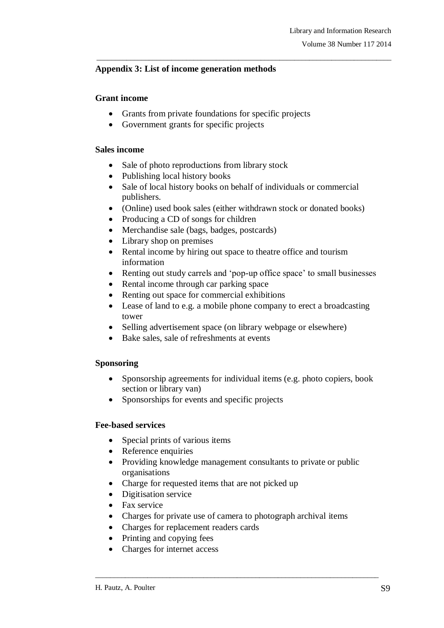## **Appendix 3: List of income generation methods**

#### **Grant income**

- Grants from private foundations for specific projects
- Government grants for specific projects

#### **Sales income**

- Sale of photo reproductions from library stock
- Publishing local history books
- Sale of local history books on behalf of individuals or commercial publishers.
- (Online) used book sales (either withdrawn stock or donated books)

\_\_\_\_\_\_\_\_\_\_\_\_\_\_\_\_\_\_\_\_\_\_\_\_\_\_\_\_\_\_\_\_\_\_\_\_\_\_\_\_\_\_\_\_\_\_\_\_\_\_\_\_\_\_\_\_\_\_\_\_\_\_\_\_\_\_\_\_\_\_\_\_\_\_\_\_\_\_\_

- Producing a CD of songs for children
- Merchandise sale (bags, badges, postcards)
- Library shop on premises
- Rental income by hiring out space to theatre office and tourism information
- Renting out study carrels and 'pop-up office space' to small businesses
- Rental income through car parking space
- Renting out space for commercial exhibitions
- Lease of land to e.g. a mobile phone company to erect a broadcasting tower
- Selling advertisement space (on library webpage or elsewhere)
- Bake sales, sale of refreshments at events

### **Sponsoring**

- Sponsorship agreements for individual items (e.g. photo copiers, book section or library van)
- Sponsorships for events and specific projects

#### **Fee-based services**

- Special prints of various items
- Reference enquiries
- Providing knowledge management consultants to private or public organisations
- Charge for requested items that are not picked up
- Digitisation service
- Fax service
- Charges for private use of camera to photograph archival items

- Charges for replacement readers cards
- Printing and copying fees
- Charges for internet access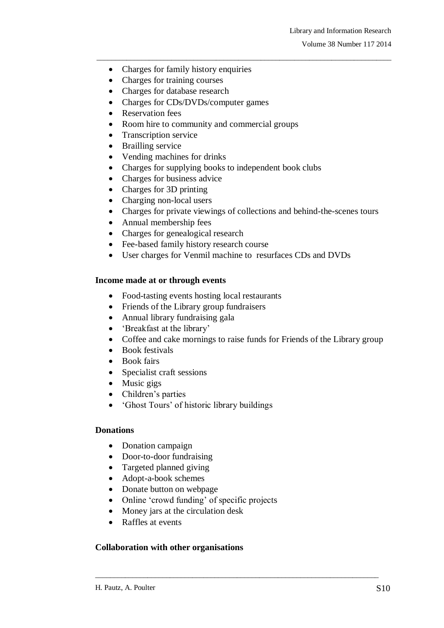- Charges for family history enquiries
- Charges for training courses
- Charges for database research
- Charges for CDs/DVDs/computer games
- Reservation fees
- Room hire to community and commercial groups
- Transcription service
- Brailling service
- Vending machines for drinks
- Charges for supplying books to independent book clubs
- Charges for business advice
- Charges for 3D printing
- Charging non-local users
- Charges for private viewings of collections and behind-the-scenes tours

\_\_\_\_\_\_\_\_\_\_\_\_\_\_\_\_\_\_\_\_\_\_\_\_\_\_\_\_\_\_\_\_\_\_\_\_\_\_\_\_\_\_\_\_\_\_\_\_\_\_\_\_\_\_\_\_\_\_\_\_\_\_\_\_\_\_\_\_\_\_\_\_\_\_\_\_\_\_\_

- Annual membership fees
- Charges for genealogical research
- Fee-based family history research course
- User charges for Venmil machine to resurfaces CDs and DVDs

### **Income made at or through events**

- Food-tasting events hosting local restaurants
- Friends of the Library group fundraisers
- Annual library fundraising gala
- 'Breakfast at the library'
- Coffee and cake mornings to raise funds for Friends of the Library group

\_\_\_\_\_\_\_\_\_\_\_\_\_\_\_\_\_\_\_\_\_\_\_\_\_\_\_\_\_\_\_\_\_\_\_\_\_\_\_\_\_\_\_\_\_\_\_\_\_\_\_\_\_\_\_\_\_\_\_\_\_\_\_\_\_\_\_\_\_\_\_\_\_\_\_\_

- Book festivals
- Book fairs
- Specialist craft sessions
- Music gigs
- Children's parties
- 'Ghost Tours' of historic library buildings

#### **Donations**

- Donation campaign
- Door-to-door fundraising
- Targeted planned giving
- Adopt-a-book schemes
- Donate button on webpage
- Online 'crowd funding' of specific projects
- Money jars at the circulation desk
- Raffles at events

### **Collaboration with other organisations**